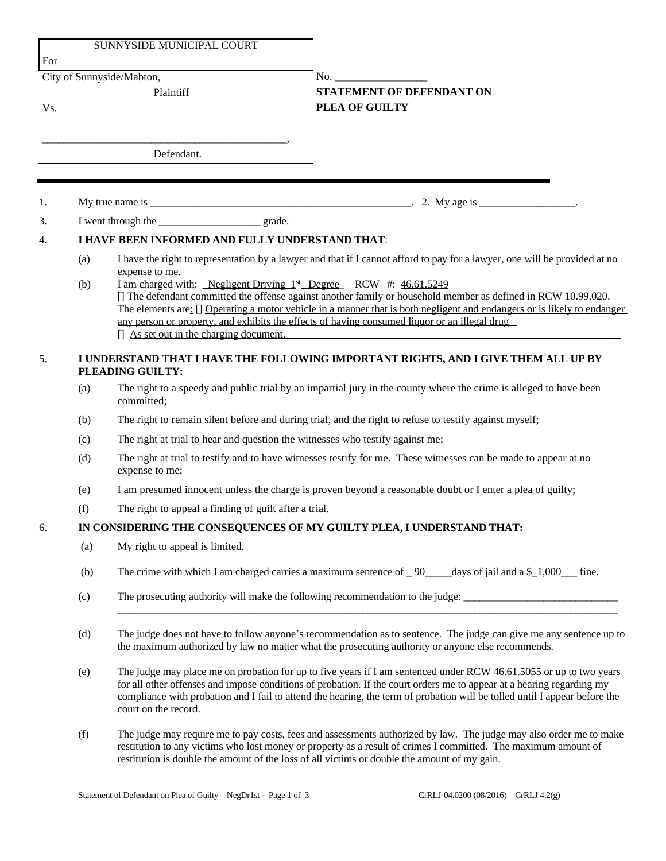|     |                                                                                                        | SUNNYSIDE MUNICIPAL COURT                                                                                                                                                                                                                                                                                                                                                                                                                                                 |                                                                                                                                                                                                                                                                                                                                      |
|-----|--------------------------------------------------------------------------------------------------------|---------------------------------------------------------------------------------------------------------------------------------------------------------------------------------------------------------------------------------------------------------------------------------------------------------------------------------------------------------------------------------------------------------------------------------------------------------------------------|--------------------------------------------------------------------------------------------------------------------------------------------------------------------------------------------------------------------------------------------------------------------------------------------------------------------------------------|
| For |                                                                                                        |                                                                                                                                                                                                                                                                                                                                                                                                                                                                           |                                                                                                                                                                                                                                                                                                                                      |
|     |                                                                                                        | City of Sunnyside/Mabton,                                                                                                                                                                                                                                                                                                                                                                                                                                                 | $\mathbf{No.}$                                                                                                                                                                                                                                                                                                                       |
|     |                                                                                                        | Plaintiff                                                                                                                                                                                                                                                                                                                                                                                                                                                                 | <b>STATEMENT OF DEFENDANT ON</b>                                                                                                                                                                                                                                                                                                     |
| Vs. |                                                                                                        |                                                                                                                                                                                                                                                                                                                                                                                                                                                                           | PLEA OF GUILTY                                                                                                                                                                                                                                                                                                                       |
|     |                                                                                                        |                                                                                                                                                                                                                                                                                                                                                                                                                                                                           |                                                                                                                                                                                                                                                                                                                                      |
|     |                                                                                                        | Defendant.                                                                                                                                                                                                                                                                                                                                                                                                                                                                |                                                                                                                                                                                                                                                                                                                                      |
|     |                                                                                                        |                                                                                                                                                                                                                                                                                                                                                                                                                                                                           |                                                                                                                                                                                                                                                                                                                                      |
| 1.  |                                                                                                        |                                                                                                                                                                                                                                                                                                                                                                                                                                                                           |                                                                                                                                                                                                                                                                                                                                      |
| 3.  |                                                                                                        |                                                                                                                                                                                                                                                                                                                                                                                                                                                                           |                                                                                                                                                                                                                                                                                                                                      |
| 4.  | I HAVE BEEN INFORMED AND FULLY UNDERSTAND THAT:                                                        |                                                                                                                                                                                                                                                                                                                                                                                                                                                                           |                                                                                                                                                                                                                                                                                                                                      |
|     | (a)                                                                                                    | expense to me.                                                                                                                                                                                                                                                                                                                                                                                                                                                            | I have the right to representation by a lawyer and that if I cannot afford to pay for a lawyer, one will be provided at no                                                                                                                                                                                                           |
|     | (b)                                                                                                    | I am charged with: Negligent Driving 1st Degree RCW #: 46.61.5249<br>[] The defendant committed the offense against another family or household member as defined in RCW 10.99.020.<br>The elements are: [] Operating a motor vehicle in a manner that is both negligent and endangers or is likely to endanger<br>any person or property, and exhibits the effects of having consumed liquor or an illegal drug<br>$\left[ \right]$ As set out in the charging document. |                                                                                                                                                                                                                                                                                                                                      |
| 5.  | I UNDERSTAND THAT I HAVE THE FOLLOWING IMPORTANT RIGHTS, AND I GIVE THEM ALL UP BY<br>PLEADING GUILTY: |                                                                                                                                                                                                                                                                                                                                                                                                                                                                           |                                                                                                                                                                                                                                                                                                                                      |
|     | (a)                                                                                                    | The right to a speedy and public trial by an impartial jury in the county where the crime is alleged to have been<br>committed;                                                                                                                                                                                                                                                                                                                                           |                                                                                                                                                                                                                                                                                                                                      |
|     | (b)                                                                                                    | The right to remain silent before and during trial, and the right to refuse to testify against myself;                                                                                                                                                                                                                                                                                                                                                                    |                                                                                                                                                                                                                                                                                                                                      |
|     | (c)                                                                                                    | The right at trial to hear and question the witnesses who testify against me;                                                                                                                                                                                                                                                                                                                                                                                             |                                                                                                                                                                                                                                                                                                                                      |
|     | (d)                                                                                                    | The right at trial to testify and to have witnesses testify for me. These witnesses can be made to appear at no<br>expense to me;                                                                                                                                                                                                                                                                                                                                         |                                                                                                                                                                                                                                                                                                                                      |
|     | (e)                                                                                                    | I am presumed innocent unless the charge is proven beyond a reasonable doubt or I enter a plea of guilty;                                                                                                                                                                                                                                                                                                                                                                 |                                                                                                                                                                                                                                                                                                                                      |
|     | (f)                                                                                                    | The right to appeal a finding of guilt after a trial.                                                                                                                                                                                                                                                                                                                                                                                                                     |                                                                                                                                                                                                                                                                                                                                      |
| 6.  | IN CONSIDERING THE CONSEQUENCES OF MY GUILTY PLEA, I UNDERSTAND THAT:                                  |                                                                                                                                                                                                                                                                                                                                                                                                                                                                           |                                                                                                                                                                                                                                                                                                                                      |
|     | (a)                                                                                                    | My right to appeal is limited.                                                                                                                                                                                                                                                                                                                                                                                                                                            |                                                                                                                                                                                                                                                                                                                                      |
|     | (b)                                                                                                    | The crime with which I am charged carries a maximum sentence of $\_\frac{90}{6}$<br>days of jail and a $\frac{1,000}{\cdot}$ fine.                                                                                                                                                                                                                                                                                                                                        |                                                                                                                                                                                                                                                                                                                                      |
|     | (c)                                                                                                    | The prosecuting authority will make the following recommendation to the judge:                                                                                                                                                                                                                                                                                                                                                                                            |                                                                                                                                                                                                                                                                                                                                      |
|     | (d)                                                                                                    | The judge does not have to follow anyone's recommendation as to sentence. The judge can give me any sentence up to<br>the maximum authorized by law no matter what the prosecuting authority or anyone else recommends.                                                                                                                                                                                                                                                   |                                                                                                                                                                                                                                                                                                                                      |
|     | (e)                                                                                                    | The judge may place me on probation for up to five years if I am sentenced under RCW 46.61.5055 or up to two years<br>for all other offenses and impose conditions of probation. If the court orders me to appear at a hearing regarding my<br>compliance with probation and I fail to attend the hearing, the term of probation will be tolled until I appear before the<br>court on the record.                                                                         |                                                                                                                                                                                                                                                                                                                                      |
|     | (f)                                                                                                    |                                                                                                                                                                                                                                                                                                                                                                                                                                                                           | The judge may require me to pay costs, fees and assessments authorized by law. The judge may also order me to make<br>restitution to any victims who lost money or property as a result of crimes I committed. The maximum amount of<br>restitution is double the amount of the loss of all victims or double the amount of my gain. |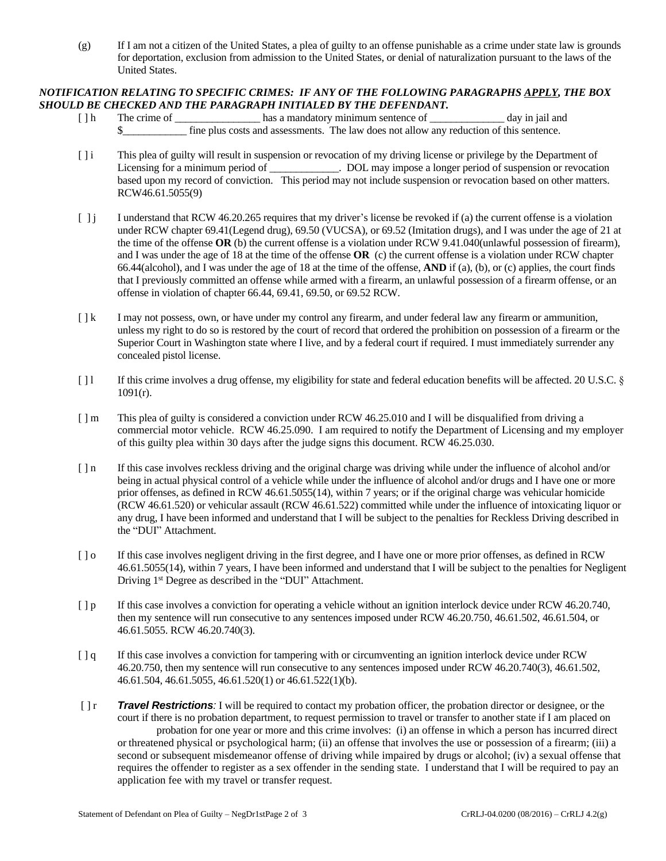(g) If I am not a citizen of the United States, a plea of guilty to an offense punishable as a crime under state law is grounds for deportation, exclusion from admission to the United States, or denial of naturalization pursuant to the laws of the United States.

## *NOTIFICATION RELATING TO SPECIFIC CRIMES: IF ANY OF THE FOLLOWING PARAGRAPHS APPLY, THE BOX SHOULD BE CHECKED AND THE PARAGRAPH INITIALED BY THE DEFENDANT.*

- [] h The crime of \_\_\_\_\_\_\_\_\_\_\_\_\_\_\_\_\_ has a mandatory minimum sentence of \_\_\_\_\_\_\_\_\_\_\_\_\_\_\_ day in jail and \$\_\_\_\_\_\_\_\_\_\_\_\_ fine plus costs and assessments. The law does not allow any reduction of this sentence.
- [ ] i This plea of guilty will result in suspension or revocation of my driving license or privilege by the Department of Licensing for a minimum period of \_\_\_\_\_\_\_\_\_\_\_. DOL may impose a longer period of suspension or revocation based upon my record of conviction. This period may not include suspension or revocation based on other matters. RCW46.61.5055(9)
- $\begin{bmatrix} 1 \end{bmatrix}$  I understand that RCW 46.20.265 requires that my driver's license be revoked if (a) the current offense is a violation under RCW chapter 69.41(Legend drug), 69.50 (VUCSA), or 69.52 (Imitation drugs), and I was under the age of 21 at the time of the offense **OR** (b) the current offense is a violation under RCW 9.41.040(unlawful possession of firearm), and I was under the age of 18 at the time of the offense **OR** (c) the current offense is a violation under RCW chapter 66.44(alcohol), and I was under the age of 18 at the time of the offense, **AND** if (a), (b), or (c) applies, the court finds that I previously committed an offense while armed with a firearm, an unlawful possession of a firearm offense, or an offense in violation of chapter 66.44, 69.41, 69.50, or 69.52 RCW.
- [  $\lfloor k$  I may not possess, own, or have under my control any firearm, and under federal law any firearm or ammunition, unless my right to do so is restored by the court of record that ordered the prohibition on possession of a firearm or the Superior Court in Washington state where I live, and by a federal court if required. I must immediately surrender any concealed pistol license.
- [ ] l If this crime involves a drug offense, my eligibility for state and federal education benefits will be affected. 20 U.S.C. § 1091(r).
- [ ] m This plea of guilty is considered a conviction under RCW 46.25.010 and I will be disqualified from driving a commercial motor vehicle. RCW 46.25.090. I am required to notify the Department of Licensing and my employer of this guilty plea within 30 days after the judge signs this document. RCW 46.25.030.
- [  $\ln$  If this case involves reckless driving and the original charge was driving while under the influence of alcohol and/or being in actual physical control of a vehicle while under the influence of alcohol and/or drugs and I have one or more prior offenses, as defined in RCW 46.61.5055(14), within 7 years; or if the original charge was vehicular homicide (RCW 46.61.520) or vehicular assault (RCW 46.61.522) committed while under the influence of intoxicating liquor or any drug, I have been informed and understand that I will be subject to the penalties for Reckless Driving described in the "DUI" Attachment.
- [ ] o If this case involves negligent driving in the first degree, and I have one or more prior offenses, as defined in RCW 46.61.5055(14), within 7 years, I have been informed and understand that I will be subject to the penalties for Negligent Driving 1<sup>st</sup> Degree as described in the "DUI" Attachment.
- [ ] p If this case involves a conviction for operating a vehicle without an ignition interlock device under RCW 46.20.740, then my sentence will run consecutive to any sentences imposed under RCW 46.20.750, 46.61.502, 46.61.504, or 46.61.5055. RCW 46.20.740(3).
- [ ] q If this case involves a conviction for tampering with or circumventing an ignition interlock device under RCW 46.20.750, then my sentence will run consecutive to any sentences imposed under RCW 46.20.740(3), 46.61.502, 46.61.504, 46.61.5055, 46.61.520(1) or 46.61.522(1)(b).
- [ ] r *Travel Restrictions:* I will be required to contact my probation officer, the probation director or designee, or the court if there is no probation department, to request permission to travel or transfer to another state if I am placed on probation for one year or more and this crime involves: (i) an offense in which a person has incurred direct or threatened physical or psychological harm; (ii) an offense that involves the use or possession of a firearm; (iii) a second or subsequent misdemeanor offense of driving while impaired by drugs or alcohol; (iv) a sexual offense that requires the offender to register as a sex offender in the sending state. I understand that I will be required to pay an application fee with my travel or transfer request.